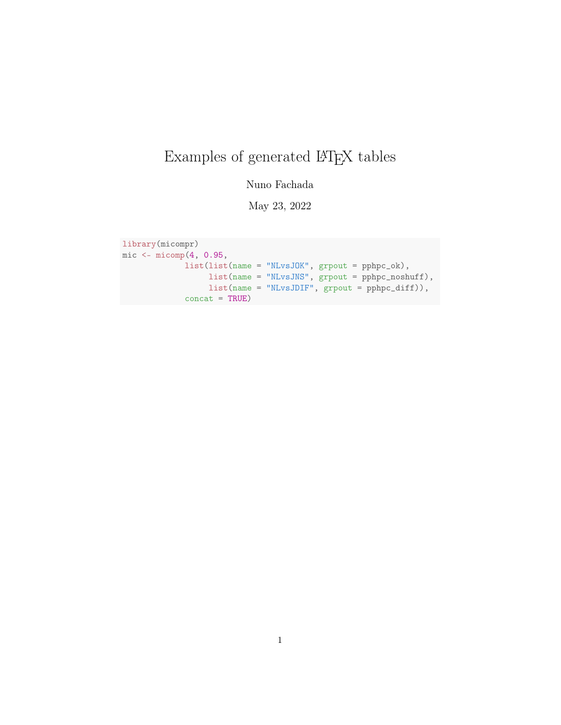# Examples of generated LATEX tables

Nuno Fachada

May 23, 2022

```
library(micompr)
mic <- micomp(4, 0.95,
             list(list(name = "NLvsJOK", grpout = pphpc_ok),
                  list(name = "NLvsJNS", grpout = pphpc_noshuff),
                  list(name = "NLvsJDIF", grpout = pphpc_diff)),
             concat = TRUE)
```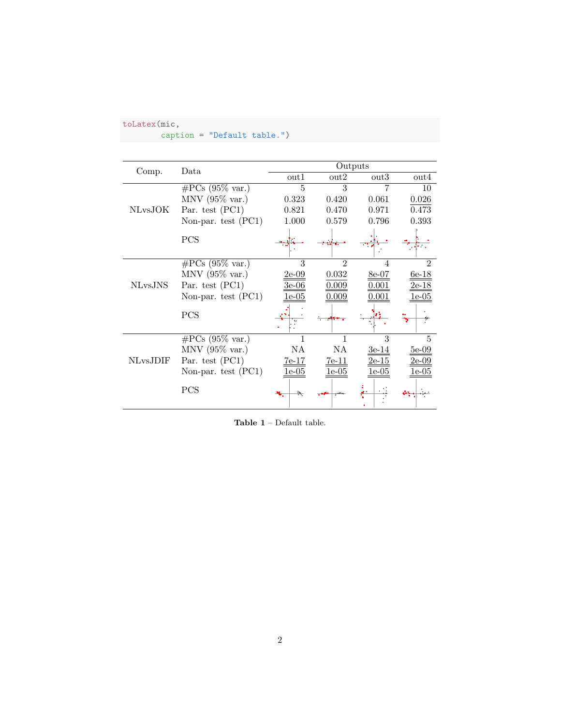# caption = "Default table.")

|                 | Data                      | Outputs |                  |                         |                  |  |
|-----------------|---------------------------|---------|------------------|-------------------------|------------------|--|
| Comp.           |                           | out1    | $_{\text{out2}}$ | out3                    | $_{\text{out4}}$ |  |
|                 | $\#\text{PCs}$ (95% var.) | 5       | 3                |                         | 10               |  |
|                 | $MNV$ (95% var.)          | 0.323   | 0.420            | 0.061                   | 0.026            |  |
| <b>NLvsJOK</b>  | Par. test (PC1)           | 0.821   | 0.470            | 0.971                   | 0.473            |  |
|                 | Non-par. test (PC1)       | 1.000   | 0.579            | 0.796                   | 0.393            |  |
|                 | PCS                       |         |                  |                         |                  |  |
|                 | $\#\text{PCs}$ (95% var.) | 3       | $\mathfrak{D}$   |                         | $\mathfrak{D}$   |  |
|                 | MNV $(95\% \text{ var.})$ | $2e-09$ | 0.032            | 8e-07                   | $6e-18$          |  |
| <b>NLvsJNS</b>  | Par. test $(PC1)$         |         | 0.009            |                         | 2e-18            |  |
|                 | Non-par. test (PC1)       | le-05   | 0.009            |                         | 1e-05            |  |
|                 | PCS                       |         |                  |                         |                  |  |
|                 | $\#\text{PCs}$ (95% var.) |         |                  | 3                       | 5                |  |
|                 | $MNV$ (95% var.)          | NA      | NA.              | $3e-14$                 | $5e-09$          |  |
| <b>NLvsJDIF</b> | Par. test (PC1)           | $7e-17$ | <u>7e-11</u>     | $2\mathrm{e}\text{-}15$ | 2e-09            |  |
|                 | Non-par. test $(PC1)$     | -05     |                  | .e-05                   | $-05$            |  |
|                 | <b>PCS</b>                |         |                  |                         |                  |  |

Table  $\boldsymbol{1}$  – Default table.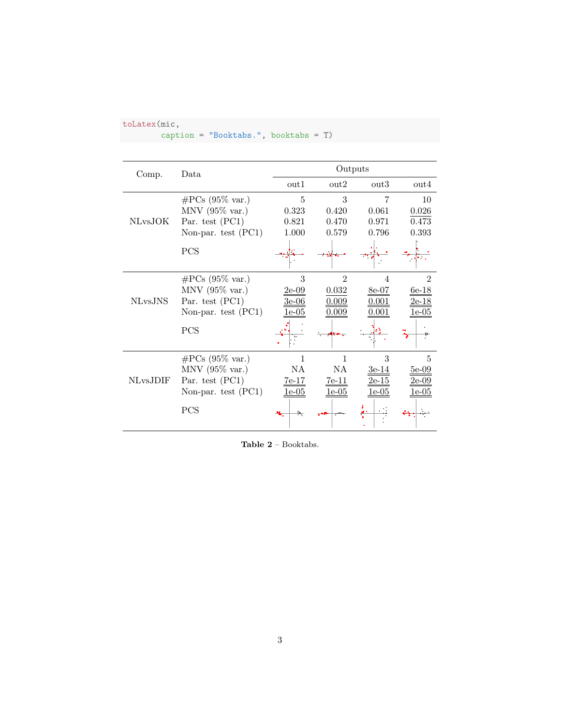caption = "Booktabs.", booktabs = T)

|                 | Comp.<br>Data             |                           | Outputs          |         |                  |
|-----------------|---------------------------|---------------------------|------------------|---------|------------------|
|                 |                           | out1                      | $_{\text{out2}}$ | out3    | $_{\text{out4}}$ |
|                 | $\#\text{PCs}$ (95% var.) | 5                         | 3                | 7       | 10               |
|                 | $MNV$ (95% var.)          | 0.323                     | 0.420            | 0.061   | 0.026            |
| <b>NLvsJOK</b>  | Par. test (PC1)           | 0.821                     | 0.470            | 0.971   | 0.473            |
|                 | Non-par. test $(PC1)$     | 1.000                     | 0.579            | 0.796   | 0.393            |
|                 | <b>PCS</b>                |                           |                  |         |                  |
|                 | $\#\text{PCs}$ (95% var.) | 3                         | $\mathfrak{D}$   |         | 2                |
|                 | $MNV$ (95% var.)          | 2e-09                     | 0.032            | 8e-07   | $6e-18$          |
| <b>NLvsJNS</b>  | Par. test (PC1)           | 3e-06                     | 0.009            | 0.001   | <u>2e-18</u>     |
|                 | Non-par. test $(PC1)$     | le-05                     | $0.009\,$        | 0.001   | 1e-05            |
|                 | <b>PCS</b>                |                           |                  |         |                  |
|                 | $\#\text{PCs}$ (95% var.) | 1                         | $\mathbf{1}$     | 3       | 5                |
|                 | MNV $(95\% \text{ var.})$ | NA                        | NA               | $3e-14$ | $5e-09$          |
| <b>NLvsJDIF</b> | Par. test (PC1)           | $7e-17$                   | $7e-11$          | 2e-15   | 2e-09            |
|                 | Non-par. test $(PC1)$     | $1\mathrm{e}{\text{-}}05$ | le-05            | le-05   | $e$ -05          |
|                 | PCS                       | Þ.                        |                  |         |                  |

Table 2 – Booktabs.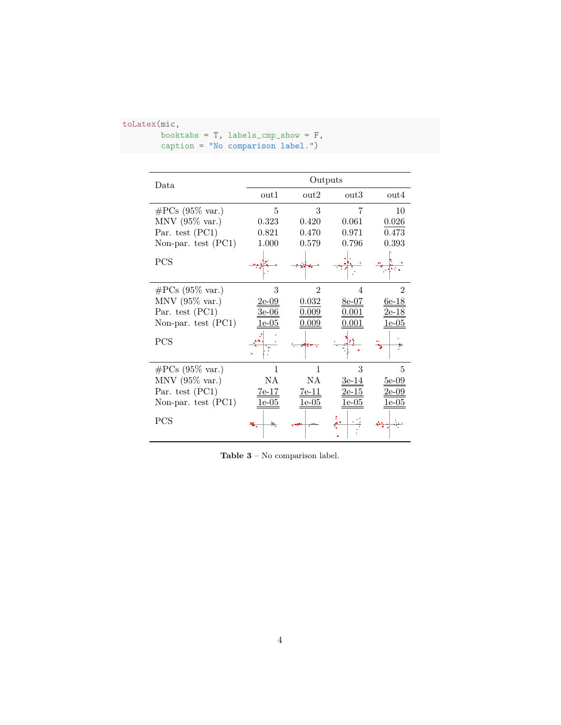```
booktabs = T, labels_cmp_show = F,
caption = "No comparison label.")
```

| Data.                     |              | Outputs          |                  |                  |  |  |  |
|---------------------------|--------------|------------------|------------------|------------------|--|--|--|
|                           | out1         | $_{\text{out2}}$ | $_{\text{out3}}$ | $_{\text{out4}}$ |  |  |  |
| $\#\text{PCs}$ (95% var.) | 5            | 3                | 7                | 10               |  |  |  |
| $MNV$ (95% var.)          | 0.323        | 0.420            | 0.061            | 0.026            |  |  |  |
| Par. test (PC1)           | 0.821        | 0.470            | 0.971            | 0.473            |  |  |  |
| Non-par. test (PC1)       | 1.000        | 0.579            | 0.796            | 0.393            |  |  |  |
| PCS                       |              |                  |                  |                  |  |  |  |
| $\#\text{PCs}$ (95% var.) | 3            | $\overline{2}$   | 4                | $\overline{2}$   |  |  |  |
| $MNV$ (95% var.)          | $2e-09$      | 0.032            | 8e-07            | $6e-18$          |  |  |  |
| Par. test $(PC1)$         | $3e-06$      | 0.009            | $0.001\,$        | <u>2e-18</u>     |  |  |  |
| Non-par. test $(PC1)$     | $1e-05$      | 0.009            | $0.001\,$        | $1e-05$          |  |  |  |
| PCS                       |              |                  |                  |                  |  |  |  |
| $\#\text{PCs}$ (95% var.) | 1            | 1                | 3                | 5                |  |  |  |
| $MNV$ (95% var.)          | ΝA           | NA               | 3e-14            | $5e-09$          |  |  |  |
| Par. test $(PC1)$         | <u>7e-17</u> | <u>7e-11</u>     | 2e-15            | 2e-09            |  |  |  |
| Non-par. test $(PC1)$     | $1e-05$      | $1e-05$          | 1e-05            | 1e-05            |  |  |  |
| PCS                       |              |                  |                  |                  |  |  |  |

Table  $\mathbf{3}$  – No comparison label.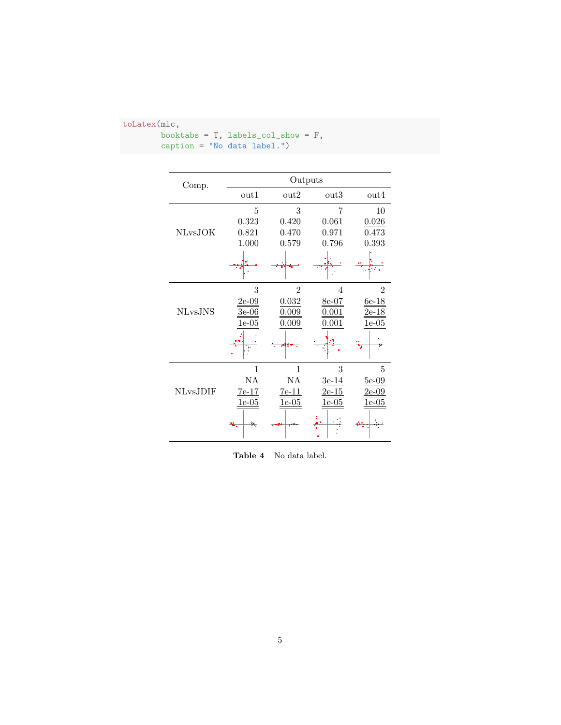| toLatex(mic, |  |
|--------------|--|
|--------------|--|

|                              | booktabs = $T$ , labels_col_show = $F$ , |
|------------------------------|------------------------------------------|
| $caption = "No data label."$ |                                          |
|                              |                                          |

| Comp.           |                    |                    | Outputs            |                              |
|-----------------|--------------------|--------------------|--------------------|------------------------------|
|                 | $_{\text{out1}}$   | $_{\text{out2}}$   | $_{\text{out3}}$   | $_{\text{out4}}$             |
|                 | 5                  | 3                  | 7                  | 10                           |
|                 | 0.323              | 0.420              | 0.061              | 0.026                        |
| <b>NLvsJOK</b>  | 0.821              | 0.470              | 0.971              | 0.473                        |
|                 | 1.000              | 0.579              | 0.796              | 0.393                        |
|                 |                    |                    |                    |                              |
|                 | 3                  | $\overline{2}$     | 4                  | $\overline{2}$               |
|                 | 2e-09              | 0.032              | 8e-07              | $6e-18$                      |
| <b>NLvsJNS</b>  | $3e-06$            | 0.009              | $0.001\,$          | 2e-18                        |
|                 | $1e-05$            | 0.009              | 0.001              | 1e-05                        |
|                 |                    |                    |                    |                              |
|                 | 1                  | 1                  | 3                  | 5                            |
|                 | NA                 | NA                 | $3e-14$            | $5e-09$                      |
| <b>NLvsJDIF</b> | $7e-17$<br>$1e-05$ | $7e-11$<br>$1e-05$ | $2e-15$<br>$1e-05$ | <u>2e-09</u><br><u>1e-05</u> |
|                 | ÷.                 |                    |                    |                              |

 ${\bf Table}$   ${\bf 4}$  –  ${\bf No}$  data label.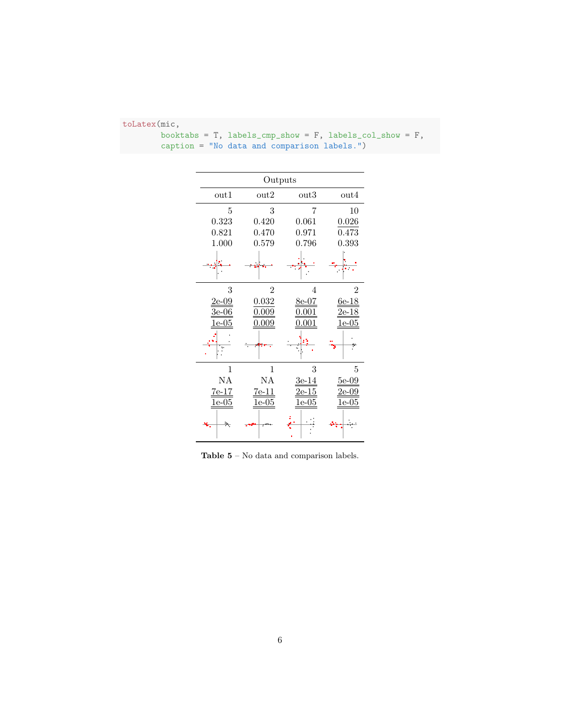|                           | Outputs        |                           |                  |  |  |  |  |
|---------------------------|----------------|---------------------------|------------------|--|--|--|--|
| $_{\mathrm{out1}}$        | $_{\rm out2}$  | $_{\text{out3}}$          | $_{\text{out4}}$ |  |  |  |  |
| 5                         | 3              | 7                         | 10               |  |  |  |  |
| 0.323                     | 0.420          | 0.061                     | 0.026            |  |  |  |  |
| 0.821                     | 0.470          | 0.971                     | 0.473            |  |  |  |  |
| 1.000                     | 0.579          | 0.796                     | 0.393            |  |  |  |  |
|                           |                |                           |                  |  |  |  |  |
| 3                         | $\overline{2}$ | 4                         | $\overline{2}$   |  |  |  |  |
| 2e-09                     | 0.032          | 8e-07                     | 6e-18            |  |  |  |  |
| 3e-06                     | 0.009          | ).001                     | 2e-18            |  |  |  |  |
| $1\mathrm{e}{\text{-}}05$ | 0.009          | 0.001                     | $1e-05$          |  |  |  |  |
|                           |                |                           |                  |  |  |  |  |
| 1                         | 1              | 3                         | 5                |  |  |  |  |
| NA                        | NA             | $3e-14$                   | $5e-09$          |  |  |  |  |
| 7e-17                     | $7e-11$        | $2e-15$                   | 2e-09            |  |  |  |  |
| $1e\hbox{-}05$            | $1e-05$        | $1\mathrm{e}{\text{-}}05$ | .e-05            |  |  |  |  |
| Þ.                        |                |                           |                  |  |  |  |  |

| booktabs = $T$ , labels_cmp_show = $F$ , labels_col_show = $F$ , |  |
|------------------------------------------------------------------|--|
| caption = "No data and comparison labels.")                      |  |

 ${\bf Table\ 5}$  –  $\hbox{No data}$  and comparison labels.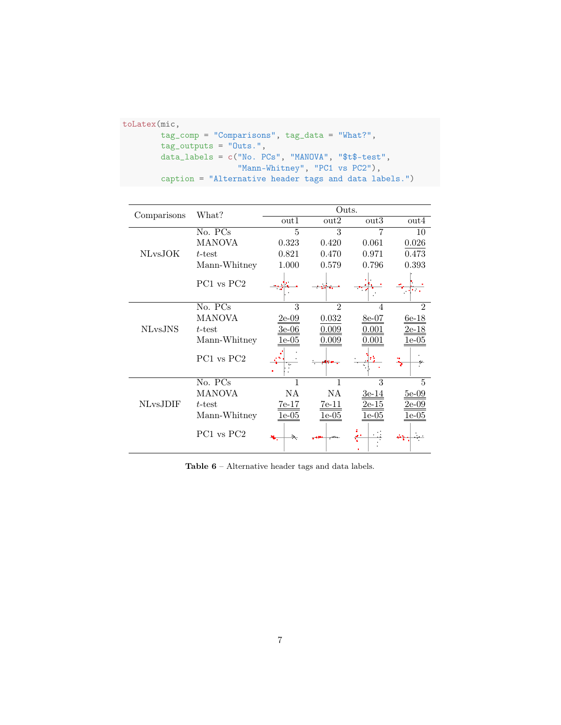```
toLatex(mic,
       tag_comp = "Comparisons", tag_data = "What?",
       tag_outputs = "Outs.",
       data_labels = c("No. PCs", "MANOVA", "$t$-test",
                        "Mann-Whitney", "PC1 vs PC2"),
       caption = "Alternative header tags and data labels.")
```

|                 | What?                              | Outs.   |                  |                  |                  |
|-----------------|------------------------------------|---------|------------------|------------------|------------------|
| Comparisons     |                                    | out1    | $_{\text{out2}}$ | $_{\text{out3}}$ | $_{\text{out4}}$ |
|                 | No. PCs                            | 5       | 3                | 7                | 10               |
|                 | <b>MANOVA</b>                      | 0.323   | 0.420            | 0.061            | 0.026            |
| <b>NLvsJOK</b>  | $t$ -test                          | 0.821   | 0.470            | 0.971            | 0.473            |
|                 | Mann-Whitney                       | 1.000   | 0.579            | 0.796            | 0.393            |
|                 | PC1 vs PC2                         |         |                  |                  |                  |
|                 | No. PCs                            | 3       | $\overline{2}$   | 4                | $\overline{2}$   |
|                 | MANOVA                             | $2e-09$ | 0.032            | $8e-07$          | $6e-18$          |
| <b>NLvsJNS</b>  | $t$ -test                          | $3e-06$ | 0.009            | $0.001\,$        | <u>2e-18</u>     |
|                 | Mann-Whitney                       | $e-05$  | 0.009            | $\rm 0.001$      | 1e-05            |
|                 | PC <sub>1</sub> vs PC <sub>2</sub> |         |                  |                  |                  |
|                 | No. PCs                            | 1       | 1                | 3                | 5                |
|                 | MANOVA                             | NA      | NA               | 3e-14            | 5e-09            |
| <b>NLvsJDIF</b> | $t$ -test                          | $7e-17$ | <u>7e-11</u>     | 2e-15            | 2e-09            |
|                 | Mann-Whitney                       | $1e-05$ | $1e-05$          | 1e-05            | 1e-05            |
|                 | PC <sub>1</sub> vs PC <sub>2</sub> | Þ.      |                  |                  |                  |

 ${\bf Table}$   ${\bf 6}$  – Alternative header tags and data labels.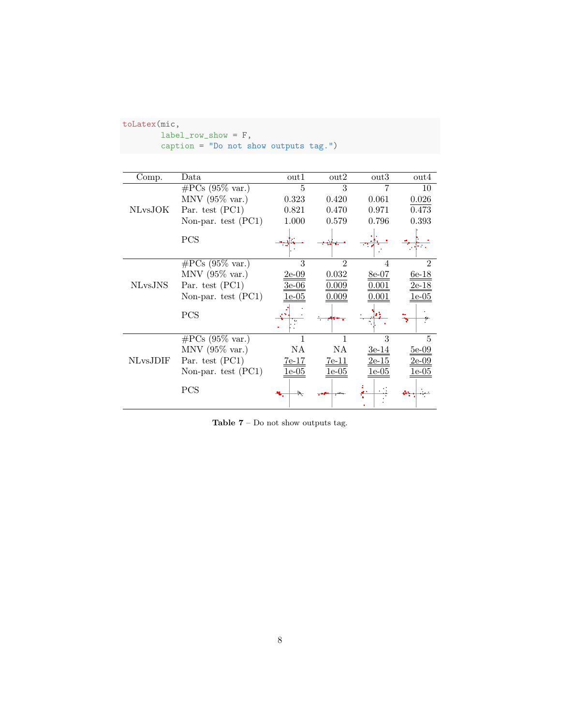| $label_{row}$ show = F,<br>caption = "Do not show outputs tag.") |                           |                |                  |                  |                  |  |
|------------------------------------------------------------------|---------------------------|----------------|------------------|------------------|------------------|--|
|                                                                  |                           |                |                  |                  |                  |  |
| Comp.                                                            | Data                      | out1           | $_{\text{out2}}$ | $_{\text{out3}}$ | $_{\text{out4}}$ |  |
|                                                                  | $\#PCs$ (95% var.)        | $\overline{5}$ | 3                |                  | 10               |  |
|                                                                  | MNV $(95\% \text{ var.})$ | 0.323          | 0.420            | 0.061            | 0.026            |  |
| <b>NLvsJOK</b>                                                   | Par. test (PC1)           | 0.821          | 0.470            | 0.971            | 0.473            |  |
|                                                                  | Non-par. test $(PC1)$     | 1.000          | 0.579            | 0.796            | 0.393            |  |
|                                                                  | PCS                       |                |                  |                  |                  |  |
|                                                                  | $\#\text{PCs}$ (95% var.) | 3              | $\mathfrak{D}$   | 4                | $\mathfrak{D}$   |  |
|                                                                  | $MNV$ (95% var.)          | $2e-09$        | 0.032            | $8e-07$          | $6e-18$          |  |
| <b>NLvsJNS</b>                                                   | Par. test (PC1)           | 3e-06          | 0.009            | $\rm 0.001$      | <u>2e-18</u>     |  |
|                                                                  | Non-par. test $(PC1)$     | 1e-05          | 0.009            | $\,0.001\,$      | $1e-05$          |  |
|                                                                  | PCS                       |                |                  |                  |                  |  |
|                                                                  | $\#\text{PCs}$ (95% var.) |                |                  | 3                | 5                |  |
|                                                                  | $MNV$ (95% var.)          | ΝA             | NA.              | $3e-14$          | $5e-09$          |  |
| <b>NLvsJDIF</b>                                                  | Par. test (PC1)           | $7e-17$        | $7e-11$          | $2e-15$          | $2e-09$          |  |
|                                                                  | Non-par. test $(PC1)$     | $1e-05$        | $1e-05$          | 1e-05            | <u>1e-05</u>     |  |
|                                                                  | <b>PCS</b>                |                |                  |                  |                  |  |

Table  $7$  –  $\operatorname{Do}$  not show outputs tag.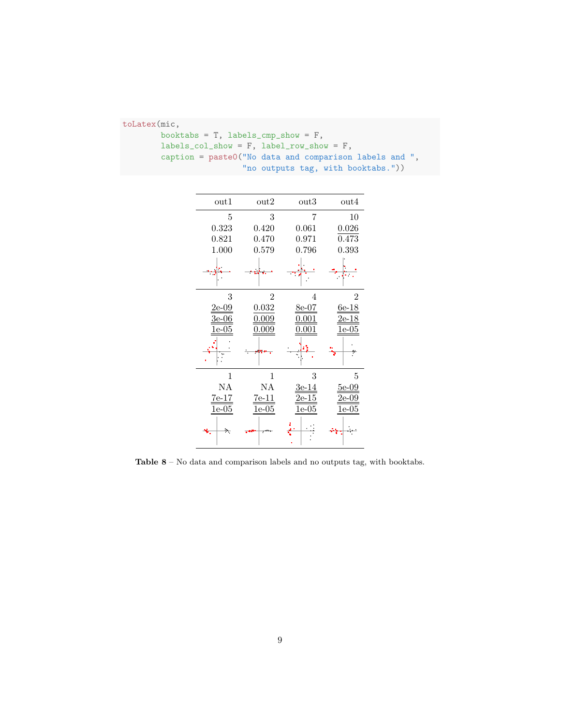| toLatex(mic,                                           |
|--------------------------------------------------------|
| booktabs = $T$ , labels_cmp_show = $F$ ,               |
| $labels_{col}show = F$ , $label_{row}show = F$ ,       |
| caption = paste0("No data and comparison labels and ", |
| "no outputs tag, with booktabs."))                     |

| $_{\mathrm{out1}}$        | $_{\text{out2}}$ | $_{\text{out3}}$ | $_{\text{out4}}$          |
|---------------------------|------------------|------------------|---------------------------|
| 5                         | 3                | 7                | 10                        |
| 0.323                     | 0.420            | 0.061            | 0.026                     |
| 0.821                     | 0.470            | 0.971            | 0.473                     |
| 1.000                     | 0.579            | 0.796            | 0.393                     |
|                           |                  |                  |                           |
| 3                         | $\overline{2}$   | 4                | $\overline{2}$            |
| $2\mathrm{e}{\text{-}}09$ | 0.032            | $8e-07$          | $6e-18$                   |
| 3e-06                     | 0.009            | $\rm 0.001$      | 2e-18                     |
| e-05                      | $_{0.009}$       | .001             | $1\mathrm{e}{\text{-}}05$ |
|                           |                  |                  |                           |
| 1                         | $\mathbf{1}$     | 3                | 5                         |
| ΝA                        | NA               | 3e-14            | $5e-09$                   |
| $7e-17$                   | $7e-11$          | $2e-15$          | $2\mathrm{e}{\text{-}}09$ |
| $1e-05$                   | $1e-05$          | $1e-05$          | $1e-05$                   |
| Þ.                        |                  |                  |                           |

 ${\bf Table}$   ${\bf 8}$  –  $\mbox{\bf No}$  data and comparison labels and no outputs tag, with booktabs.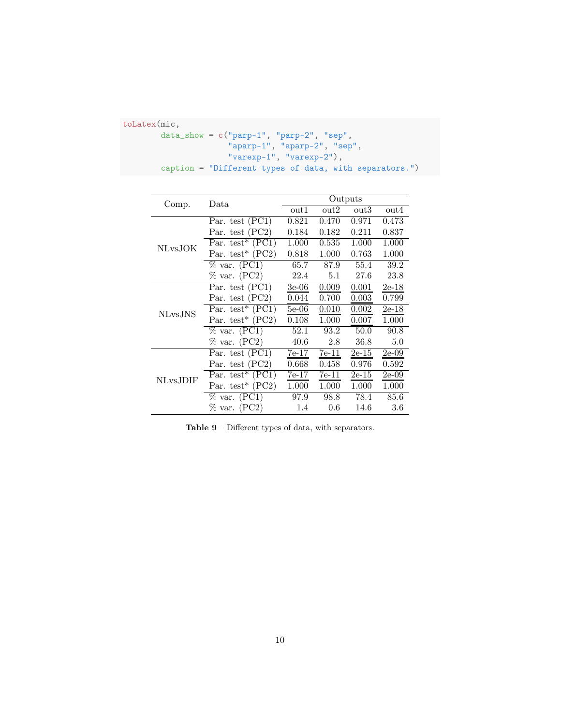```
toLatex(mic,
        data_show = c("parp-1", "parp-2", "sep",
                      "aparp-1", "aparp-2", "sep",
                      "varexp-1", "varexp-2"),
        caption = "Different types of data, with separators.")
```

|           |                                                  | Outputs          |                  |                  |         |  |
|-----------|--------------------------------------------------|------------------|------------------|------------------|---------|--|
| Comp.     | Data                                             | $_{\text{out1}}$ | $_{\text{out2}}$ | $_{\text{out3}}$ | out4    |  |
|           | Par. test $(PC1)$                                | 0.821            | 0.470            | 0.971            | 0.473   |  |
|           | Par. test $(PC2)$                                | 0.184            | 0.182            | 0.211            | 0.837   |  |
| NLvsJOK   | Par. test <sup>*</sup> $(PC1)$                   | 1.000            | 0.535            | 1.000            | 1.000   |  |
|           | Par. test <sup>*</sup> $(PC2)$                   | 0.818            | 1.000            | 0.763            | 1.000   |  |
|           | $\%$ var. (PC1)                                  | 65.7             | 87.9             | 55.4             | 39.2    |  |
|           | $\%$ var. (PC2)                                  | 22.4             | 5.1              | 27.6             | 23.8    |  |
| NLvs.JNS  | Par. test (PC1)                                  | $3e-06$          | 0.009            | 0.001            | 2e-18   |  |
|           | Par. test (PC2)                                  | 0.044            | 0.700            | 0.003            | 0.799   |  |
|           | Par. test* $(PC1)$                               | $5e-06$          | 0.010            | 0.002            | $2e-18$ |  |
|           | Par. test <sup>*</sup> $(PC2)$                   | 0.108            | 1.000            | 0.007            | 1.000   |  |
|           | $\%$ var. (PC1)                                  | 52.1             | 93.2             | 50.0             | 90.8    |  |
|           | $\%$ var. (PC2)                                  | 40.6             | 2.8              | 36.8             | 5.0     |  |
| NLvs.JDIF | Par. test (PC1)                                  | $7e-17$          | 7e-11            | $2e-15$          | $2e-09$ |  |
|           | Par. test (PC2)                                  | 0.668            | 0.458            | 0.976            | 0.592   |  |
|           | $\overline{\text{Par.}}$ test <sup>*</sup> (PC1) | 7e-17            | 7e-11            | 2e-15            | 2e-09   |  |
|           | Par. test <sup>*</sup> $(PC2)$                   | 1.000            | 1.000            | 1.000            | 1.000   |  |
|           | $\%$ var. (PC1)                                  | 97.9             | 98.8             | 78.4             | 85.6    |  |
|           | $\%$ var. (PC2)                                  | 1.4              | 0.6              | 14.6             | 3.6     |  |

Table 9 – Different types of data, with separators.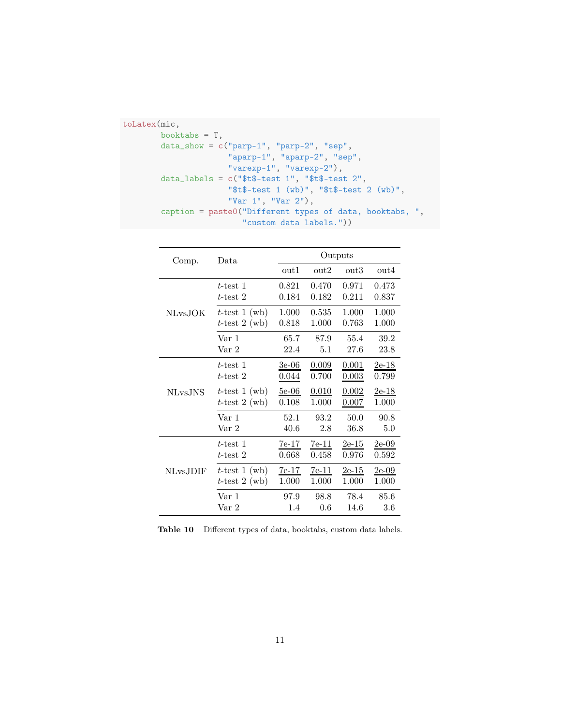```
toLatex(mic,
       booktabs = T,
        data_show = c("parp-1", "parp-2", "sep",
                      "aparp-1", "aparp-2", "sep",
                      "varexp-1", "varexp-2"),
        data_labels = c("$t$-test 1", "$t$-test 2",
                      "$t$-test 1 (wb)", "$t$-test 2 (wb)",
                      "Var 1", "Var 2"),
        caption = paste0("Different types of data, booktabs, ",
                         "custom data labels."))
```

| Comp.           | Data             | Outputs |                  |         |                  |  |
|-----------------|------------------|---------|------------------|---------|------------------|--|
|                 |                  | out1    | $_{\text{out2}}$ | out3    | $_{\text{out4}}$ |  |
|                 | $t$ -test 1      | 0.821   | 0.470            | 0.971   | 0.473            |  |
|                 | $t$ -test 2      | 0.184   | 0.182            | 0.211   | 0.837            |  |
| <b>NLvsJOK</b>  | $t$ -test 1 (wb) | 1.000   | 0.535            | 1.000   | 1.000            |  |
|                 | $t$ -test 2 (wb) | 0.818   | 1.000            | 0.763   | 1.000            |  |
|                 | Var 1            | 65.7    | 87.9             | 55.4    | 39.2             |  |
|                 | Var <sub>2</sub> | 22.4    | 5.1              | 27.6    | 23.8             |  |
|                 | $t$ -test 1      | $3e-06$ | 0.009            | 0.001   | $2e-18$          |  |
| <b>NLvsJNS</b>  | $t$ -test 2      | 0.044   | 0.700            | 0.003   | 0.799            |  |
|                 | $t$ -test 1 (wb) | $5e-06$ | 0.010            | 0.002   | $2e-18$          |  |
|                 | $t$ -test 2 (wb) | 0.108   | 1.000            | 0.007   | 1.000            |  |
|                 | Var 1            | 52.1    | 93.2             | 50.0    | 90.8             |  |
|                 | Var 2            | 40.6    | 2.8              | 36.8    | 5.0              |  |
|                 | $t$ -test 1      | $7e-17$ | $7e-11$          | $2e-15$ | $2e-09$          |  |
| <b>NLvsJDIF</b> | $t$ -test 2      | 0.668   | 0.458            | 0.976   | 0.592            |  |
|                 | $t$ -test 1 (wb) | $7e-17$ | $7e-11$          | $2e-15$ | $2e-09$          |  |
|                 | $t$ -test 2 (wb) | 1.000   | 1.000            | 1.000   | 1.000            |  |
|                 | Var 1            | 97.9    | 98.8             | 78.4    | 85.6             |  |
|                 | Var 2            | 1.4     | 0.6              | 14.6    | 3.6              |  |

Table 10 – Different types of data, booktabs, custom data labels.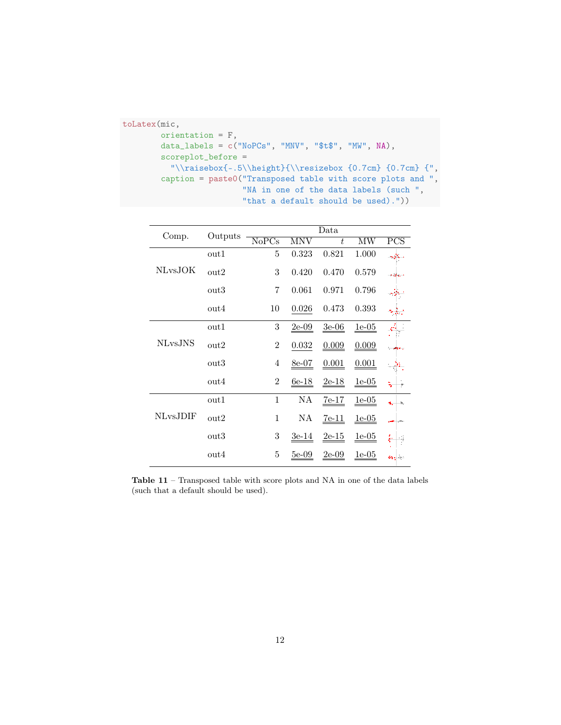```
toLatex(mic,
                 orientation = F,
                 data_labels = c("NoPCs", "MNV", "$t$", "MW", NA),
                 scoreplot_before =
                      \label{thm:main} $$\|\raisebox\{-.5\|\height\}_{\resize box \{0.7cm\} \{0.7cm\} } \|\raisebox\{-.5\|\beta\} \|\resize box \{0.7cm\} \{0.7cm\} \} \|\raisebox\{-.5\|\beta\} \|\resize box \{0.7cm\} \{0.7cm\} \|\raisebox\{-.5\|\beta\} \|\resize box \{0.7cm\} \|\resize box \{0.7cm\} \|\resize box \{0.7cm\} \|\resize box \{0.7cm\} \|\resize box \{0.7cm\} \|\resize box \{0.7cm\} \|\resize box \{0.7cmcaption = paste0("Transposed table with score plots and ",
                                                      "NA in one of the data labels (such ",
                                                      "that a default should be used)."))
```

| Comp.          | Outputs          | Data                      |              |         |         |            |  |  |
|----------------|------------------|---------------------------|--------------|---------|---------|------------|--|--|
|                |                  | $\overline{\text{NoPCs}}$ | <b>MNV</b>   | t       | MW      | <b>PCS</b> |  |  |
|                | $_{\text{out1}}$ | $\overline{5}$            | 0.323        | 0.821   | 1.000   |            |  |  |
| NLvsJOK        | $_{\text{out2}}$ | 3                         | 0.420        | 0.470   | 0.579   | n educ     |  |  |
|                | $_{\text{out3}}$ | 7                         | 0.061        | 0.971   | 0.796   |            |  |  |
|                | $_{\text{out4}}$ | 10                        | 0.026        | 0.473   | 0.393   |            |  |  |
| <b>NLvsJNS</b> | $_{\text{out1}}$ | 3                         | $2e-09$      | $3e-06$ | $1e-05$ |            |  |  |
|                | $_{\text{out2}}$ | $\overline{2}$            | 0.032        | 0.009   | 0.009   |            |  |  |
|                | $_{\text{out3}}$ | 4                         | $8e-07$      | 0.001   | 0.001   |            |  |  |
|                | $_{\text{out4}}$ | $\overline{2}$            | $6e-18$      | $2e-18$ | $1e-05$ | ۳          |  |  |
|                | $_{\text{out1}}$ | 1                         | NA           | $7e-17$ | $1e-05$ | ħ,         |  |  |
| NLvs.JDIF      | $_{\text{out2}}$ | $\mathbf{1}$              | NA           | $7e-11$ | $1e-05$ |            |  |  |
|                | $_{\text{out3}}$ | 3                         | $3e-14$      | $2e-15$ | $1e-05$ |            |  |  |
|                | $_{\text{out4}}$ | 5                         | <u>5e-09</u> | $2e-09$ | $1e-05$ |            |  |  |

Table 11 – Transposed table with score plots and NA in one of the data labels (such that a default should be used).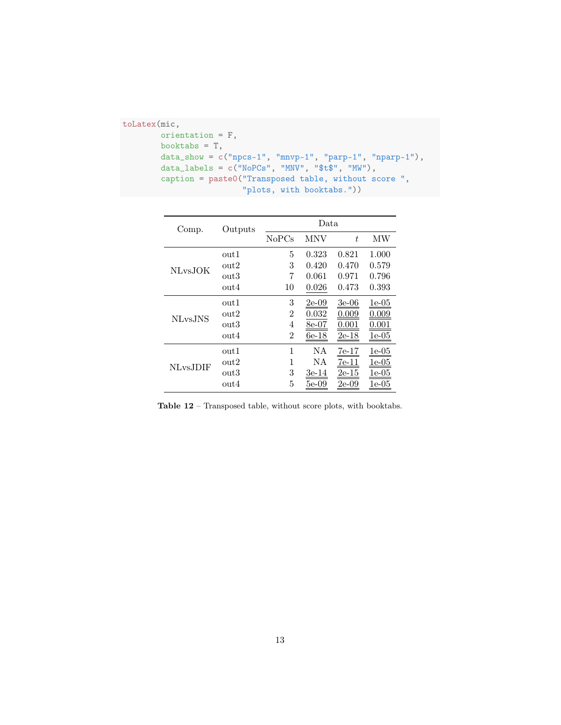```
toLatex(mic,
       orientation = F,
       booktabs = T,
       data_show = c("npcs-1", "mnvp-1", "parp-1", "nparp-1"),
       data_labels = c("NoPCS", "MNV", " $t$", "MW"),caption = paste0("Transposed table, without score ",
                         "plots, with booktabs."))
```

| Comp.                | Outputs       | Data  |            |           |                           |  |  |
|----------------------|---------------|-------|------------|-----------|---------------------------|--|--|
|                      |               | NoPCs | <b>MNV</b> | $t_{i}$   | МW                        |  |  |
| NLvsJOK              | $_{\rm out1}$ | 5     | 0.323      | 0.821     | 1.000                     |  |  |
|                      | out2          | 3     | 0.420      | 0.470     | 0.579                     |  |  |
|                      | out3          | 7     | 0.061      | 0.971     | 0.796                     |  |  |
|                      | out4          | 10    | 0.026      | 0.473     | 0.393                     |  |  |
| NL <sub>vs</sub> JNS | out1          | 3     | 2e-09      | 3e-06     | 1e-05                     |  |  |
|                      | out2          | 2     | 0.032      | $0.009\,$ | 0.009                     |  |  |
|                      | out3          | 4     | 8e-07      | 0.001     | 0.001                     |  |  |
|                      | out4          | 2     | $6e-18$    | $2e-18$   | $1\mathrm{e}{\text{-}}05$ |  |  |
| NLvs.JDIF            | out1          | 1     | ΝA         | 7e-17     | 1e-05                     |  |  |
|                      | out2          | 1     | <b>NA</b>  | $7e-11$   | 1e-05                     |  |  |
|                      | out3          | 3     | 3e-14      | $2e-15$   | 1e-05                     |  |  |
|                      | out4          | 5     | 5e-09      | 2e-09     | 1e-05                     |  |  |

Table  $\bf 12$  – Transposed table, without score plots, with booktabs.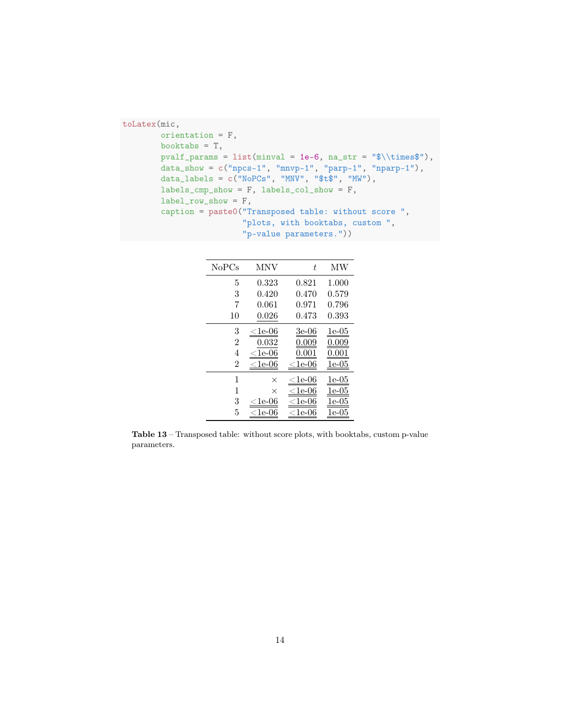```
toLatex(mic,
       orientation = F,
       booktabs = T,
       pvalf_params = list(minval = 1e-6, na_str = "\tilde{ \times$"),
        data_show = c("npcs-1", "mnvp-1", "parp-1", "nparp-1"),
        data_labels = c("NoPCs", "MNV", "$t$", "MW"),
       labels_cmp_show = F, labels_col_show = F,
        label_row_show = F,
        caption = paste0("Transposed table: without score ",
                         "plots, with booktabs, custom ",
                         "p-value parameters."))
```

| NoPCs          | MNV                                 | t                            | МW                        |
|----------------|-------------------------------------|------------------------------|---------------------------|
| 5              | 0.323                               | 0.821                        | 1.000                     |
| 3              | 0.420                               | 0.470                        | 0.579                     |
| 7              | 0.061                               | 0.971                        | 0.796                     |
| 10             | 0.026                               | $\rm 0.473$                  | 0.393                     |
| 3              | ${<}1\mathrm{e}{\text{-}}06$        | 3e-06                        | $1\mathrm{e}{\text{-}}05$ |
| $\overline{2}$ | 0.032                               | $\rm 0.009$                  | $0.009\,$                 |
| 4              | 1e-06                               | 0.00                         | 0.001                     |
| $\overline{2}$ | $\scriptstyle\mathrm{1e}\text{-}06$ | $<$ 1e-06                    | $1\mathrm{e}{\text{-}}05$ |
| 1              | $\times$                            | ${<}1\mathrm{e}{\text{-}}06$ | 1e-05                     |
| 1              | $\times$                            | $<$ 1e-06                    | 1e-05                     |
| 3              | 1e-06                               | 1e-06                        | .e-05                     |
| 5              | 1e-t                                | $1e-06$                      | 1e-05                     |

Table 13 – Transposed table: without score plots, with booktabs, custom p-value parameters.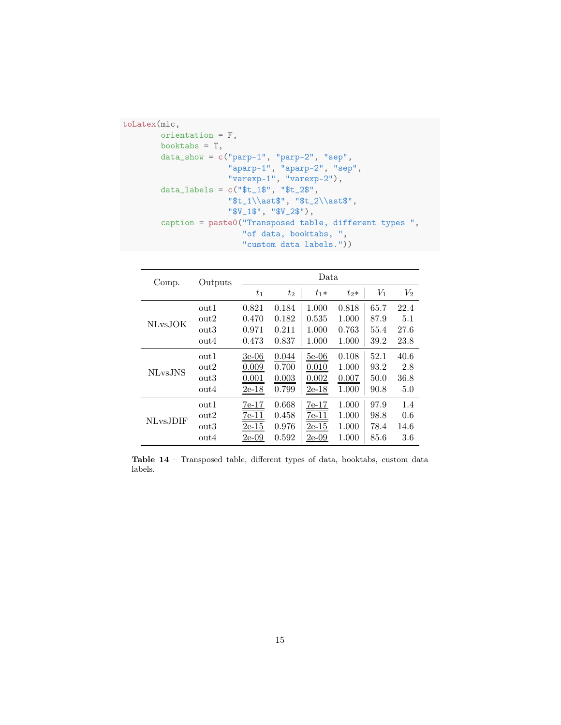```
toLatex(mic,
        orientation = F,
       booktabs = T,
        data_show = c("parp-1", "parp-2", "sep",
                      "aparp-1", "aparp-2", "sep",
                      "varexp-1", "varexp-2"),
        data_labels = c("$t_1$", "$t_2$",
                      "$t_1\\ast$", "$t_2\\ast$",
                      "$V_1$", "$V_2$"),
        caption = paste0("Transposed table, different types ",
                         "of data, booktabs, ",
                         "custom data labels."))
```

| Comp.                | Outputs          | Data.   |       |         |        |       |       |
|----------------------|------------------|---------|-------|---------|--------|-------|-------|
|                      |                  | $t_{1}$ | $t_2$ | $t_1*$  | $t_2*$ | $V_1$ | $V_2$ |
|                      | out1             | 0.821   | 0.184 | 1.000   | 0.818  | 65.7  | 22.4  |
| <b>NLvsJOK</b>       | $_{\rm out2}$    | 0.470   | 0.182 | 0.535   | 1.000  | 87.9  | 5.1   |
|                      | out <sub>3</sub> | 0.971   | 0.211 | 1.000   | 0.763  | 55.4  | 27.6  |
|                      | out4             | 0.473   | 0.837 | 1.000   | 1.000  | 39.2  | 23.8  |
|                      | out1             | $3e-06$ | 0.044 | $5e-06$ | 0.108  | 52.1  | 40.6  |
| NL <sub>vs</sub> JNS | $_{\text{out2}}$ | 0.009   | 0.700 | 0.010   | 1.000  | 93.2  | 2.8   |
|                      | out3             | 0.001   | 0.003 | 0.002   | 0.007  | 50.0  | 36.8  |
|                      | out4             | $2e-18$ | 0.799 | $2e-18$ | 1.000  | 90.8  | 5.0   |
| NLvs.JDIF            | out1             | $7e-17$ | 0.668 | $7e-17$ | 1.000  | 97.9  | 1.4   |
|                      | $_{\rm out2}$    | $7e-11$ | 0.458 | $7e-11$ | 1.000  | 98.8  | 0.6   |
|                      | $_{\text{out3}}$ | $2e-15$ | 0.976 | $2e-15$ | 1.000  | 78.4  | 14.6  |
|                      | out4             | 2e-09   | 0.592 | 2e-09   | 1.000  | 85.6  | 3.6   |

Table 14 – Transposed table, different types of data, booktabs, custom data labels.